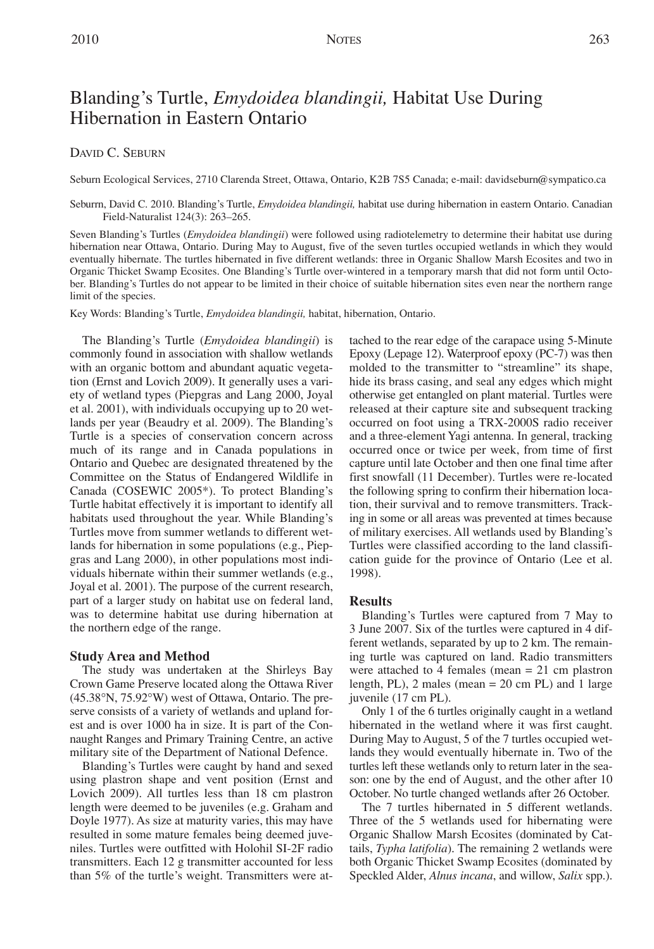# DAVID C. SEBURN

Seburn Ecological Services, 2710 Clarenda Street, Ottawa, Ontario, K2B 7S5 Canada; e-mail: davidseburn@sympatico.ca

Seburrn, David C. 2010. Blanding's Turtle, *Emydoidea blandingii,* habitat use during hibernation in eastern Ontario. Canadian Field-Naturalist 124(3): 263–265.

Seven Blanding's Turtles (*Emydoidea blandingii*) were followed using radiotelemetry to determine their habitat use during hibernation near Ottawa, Ontario. During May to August, five of the seven turtles occupied wetlands in which they would eventually hibernate. The turtles hibernated in five different wetlands: three in Organic Shallow Marsh Ecosites and two in Organic Thicket Swamp Ecosites. One Blanding's Turtle over-wintered in a temporary marsh that did not form until October. Blanding's Turtles do not appear to be limited in their choice of suitable hibernation sites even near the northern range limit of the species.

Key Words: Blanding's Turtle, *Emydoidea blandingii,* habitat, hibernation, Ontario.

The Blanding's Turtle (*Emydoidea blandingii*) is commonly found in association with shallow wetlands with an organic bottom and abundant aquatic vegetation (Ernst and Lovich 2009). It generally uses a variety of wetland types (Piepgras and Lang 2000, Joyal et al. 2001), with individuals occupying up to 20 wetlands per year (Beaudry et al. 2009). The Blanding's Turtle is a species of conservation concern across much of its range and in Canada populations in Ontario and Quebec are designated threatened by the Committee on the Status of Endangered Wildlife in Canada (COSEWIC 2005\*). To protect Blanding's Turtle habitat effectively it is important to identify all habitats used throughout the year. While Blanding's Turtles move from summer wetlands to different wetlands for hibernation in some populations (e.g., Piepgras and Lang 2000), in other populations most individuals hibernate within their summer wetlands (e.g., Joyal et al. 2001). The purpose of the current research, part of a larger study on habitat use on federal land, was to determine habitat use during hibernation at the northern edge of the range.

## **Study Area and Method**

The study was undertaken at the Shirleys Bay Crown Game Preserve located along the Ottawa River (45.38°N, 75.92°W) west of Ottawa, Ontario. The preserve consists of a variety of wetlands and upland forest and is over 1000 ha in size. It is part of the Connaught Ranges and Primary Training Centre, an active military site of the Department of National Defence.

Blanding's Turtles were caught by hand and sexed using plastron shape and vent position (Ernst and Lovich 2009). All turtles less than 18 cm plastron length were deemed to be juveniles (e.g. Graham and Doyle 1977). As size at maturity varies, this may have resulted in some mature females being deemed juveniles. Turtles were outfitted with Holohil SI-2F radio transmitters. Each 12 g transmitter accounted for less than 5% of the turtle's weight. Transmitters were attached to the rear edge of the carapace using 5-Minute Epoxy (Lepage 12). Waterproof epoxy (PC-7) was then molded to the transmitter to "streamline" its shape, hide its brass casing, and seal any edges which might otherwise get entangled on plant material. Turtles were released at their capture site and subsequent tracking occurred on foot using a TRX-2000S radio receiver and a three-element Yagi antenna. In general, tracking occurred once or twice per week, from time of first capture until late October and then one final time after first snowfall (11 December). Turtles were re-located the following spring to confirm their hibernation location, their survival and to remove transmitters. Tracking in some or all areas was prevented at times because of military exercises. All wetlands used by Blanding's Turtles were classified according to the land classification guide for the province of Ontario (Lee et al. 1998).

## **Results**

Blanding's Turtles were captured from 7 May to 3 June 2007. Six of the turtles were captured in 4 different wetlands, separated by up to 2 km. The remaining turtle was captured on land. Radio transmitters were attached to 4 females (mean = 21 cm plastron length, PL), 2 males (mean = 20 cm PL) and 1 large juvenile (17 cm PL).

Only 1 of the 6 turtles originally caught in a wetland hibernated in the wetland where it was first caught. During May to August, 5 of the 7 turtles occupied wetlands they would eventually hibernate in. Two of the turtles left these wetlands only to return later in the season: one by the end of August, and the other after 10 October. No turtle changed wetlands after 26 October.

The 7 turtles hibernated in 5 different wetlands. Three of the 5 wetlands used for hibernating were Organic Shallow Marsh Ecosites (dominated by Cattails, *Typha latifolia*). The remaining 2 wetlands were both Organic Thicket Swamp Ecosites (dominated by Speckled Alder, *Alnus incana*, and willow, *Salix* spp.).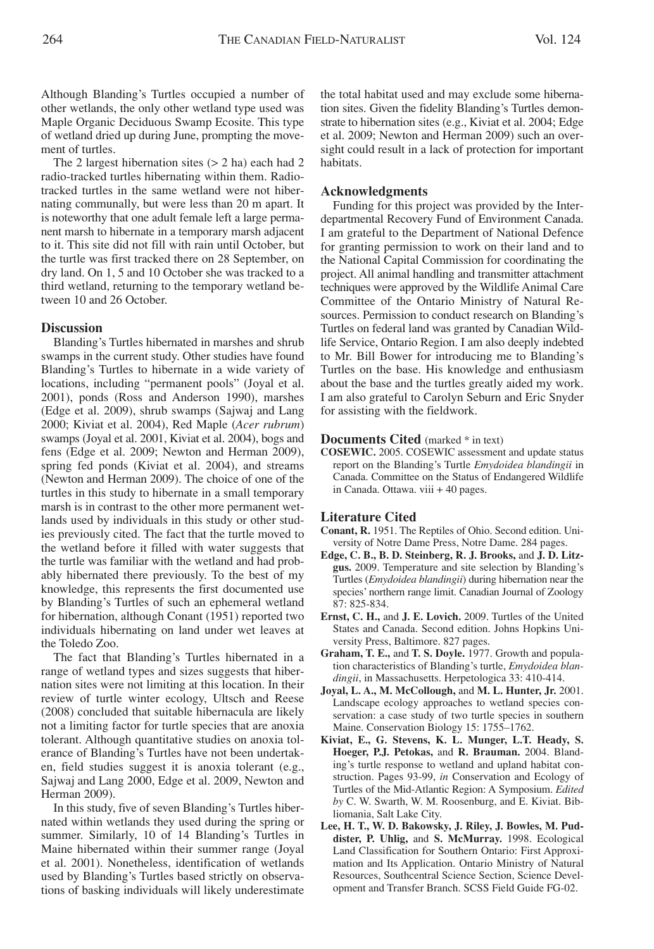Although Blanding's Turtles occupied a number of other wetlands, the only other wetland type used was Maple Organic Deciduous Swamp Ecosite. This type of wetland dried up during June, prompting the movement of turtles.

The 2 largest hibernation sites  $(> 2 \text{ ha})$  each had 2 radio-tracked turtles hibernating within them. Radiotracked turtles in the same wetland were not hibernating communally, but were less than 20 m apart. It is noteworthy that one adult female left a large permanent marsh to hibernate in a temporary marsh adjacent to it. This site did not fill with rain until October, but the turtle was first tracked there on 28 September, on dry land. On 1, 5 and 10 October she was tracked to a third wetland, returning to the temporary wetland between 10 and 26 October.

## **Discussion**

Blanding's Turtles hibernated in marshes and shrub swamps in the current study. Other studies have found Blanding's Turtles to hibernate in a wide variety of locations, including "permanent pools" (Joyal et al. 2001), ponds (Ross and Anderson 1990), marshes (Edge et al. 2009), shrub swamps (Sajwaj and Lang 2000; Kiviat et al. 2004), Red Maple (*Acer rubrum*) swamps (Joyal et al. 2001, Kiviat et al. 2004), bogs and fens (Edge et al. 2009; Newton and Herman 2009), spring fed ponds (Kiviat et al. 2004), and streams (Newton and Herman 2009). The choice of one of the turtles in this study to hibernate in a small temporary marsh is in contrast to the other more permanent wetlands used by individuals in this study or other studies previously cited. The fact that the turtle moved to the wetland before it filled with water suggests that the turtle was familiar with the wetland and had probably hibernated there previously. To the best of my knowledge, this represents the first documented use by Blanding's Turtles of such an ephemeral wetland for hibernation, although Conant (1951) reported two individuals hibernating on land under wet leaves at the Toledo Zoo.

The fact that Blanding's Turtles hibernated in a range of wetland types and sizes suggests that hibernation sites were not limiting at this location. In their review of turtle winter ecology, Ultsch and Reese (2008) concluded that suitable hibernacula are likely not a limiting factor for turtle species that are anoxia tolerant. Although quantitative studies on anoxia tolerance of Blanding's Turtles have not been undertaken, field studies suggest it is anoxia tolerant (e.g., Sajwaj and Lang 2000, Edge et al. 2009, Newton and Herman 2009).

In this study, five of seven Blanding's Turtles hibernated within wetlands they used during the spring or summer. Similarly, 10 of 14 Blanding's Turtles in Maine hibernated within their summer range (Joyal et al. 2001). Nonetheless, identification of wetlands used by Blanding's Turtles based strictly on observations of basking individuals will likely underestimate the total habitat used and may exclude some hibernation sites. Given the fidelity Blanding's Turtles demonstrate to hibernation sites (e.g., Kiviat et al. 2004; Edge et al. 2009; Newton and Herman 2009) such an oversight could result in a lack of protection for important habitats.

## **Acknowledgments**

Funding for this project was provided by the Interdepartmental Recovery Fund of Environment Canada. I am grateful to the Department of National Defence for granting permission to work on their land and to the National Capital Commission for coordinating the project. All animal handling and transmitter attachment techniques were approved by the Wildlife Animal Care Committee of the Ontario Ministry of Natural Resources. Permission to conduct research on Blanding's Turtles on federal land was granted by Canadian Wildlife Service, Ontario Region. I am also deeply indebted to Mr. Bill Bower for introducing me to Blanding's Turtles on the base. His knowledge and enthusiasm about the base and the turtles greatly aided my work. I am also grateful to Carolyn Seburn and Eric Snyder for assisting with the fieldwork.

#### **Documents Cited** (marked \* in text)

**COSEWIC.** 2005. COSEWIC assessment and update status report on the Blanding's Turtle *Emydoidea blandingii* in Canada. Committee on the Status of Endangered Wildlife in Canada. Ottawa. viii + 40 pages.

## **Literature Cited**

- **Conant, R.** 1951. The Reptiles of Ohio. Second edition. University of Notre Dame Press, Notre Dame. 284 pages.
- **Edge, C. B., B. D. Steinberg, R. J. Brooks,** and **J. D. Litzgus.** 2009. Temperature and site selection by Blanding's Turtles (*Emydoidea blandingii*) during hibernation near the species' northern range limit. Canadian Journal of Zoology 87: 825-834.
- **Ernst, C. H.,** and **J. E. Lovich.** 2009. Turtles of the United States and Canada. Second edition. Johns Hopkins University Press, Baltimore. 827 pages.
- **Graham, T. E.,** and **T. S. Doyle.** 1977. Growth and population characteristics of Blanding's turtle, *Emydoidea blandingii*, in Massachusetts. Herpetologica 33: 410-414.
- **Joyal, L. A., M. McCollough,** and **M. L. Hunter, Jr.** 2001. Landscape ecology approaches to wetland species conservation: a case study of two turtle species in southern Maine. Conservation Biology 15: 1755–1762.
- **Kiviat, E., G. Stevens, K. L. Munger, L.T. Heady, S. Hoeger, P.J. Petokas,** and **R. Brauman.** 2004. Blanding's turtle response to wetland and upland habitat construction. Pages 93-99, *in* Conservation and Ecology of Turtles of the Mid-Atlantic Region: A Symposium. *Edited by* C. W. Swarth, W. M. Roosenburg, and E. Kiviat. Bibliomania, Salt Lake City.
- **Lee, H. T., W. D. Bakowsky, J. Riley, J. Bowles, M. Puddister, P. Uhlig,** and **S. McMurray.** 1998. Ecological Land Classification for Southern Ontario: First Approximation and Its Application. Ontario Ministry of Natural Resources, Southcentral Science Section, Science Development and Transfer Branch. SCSS Field Guide FG-02.